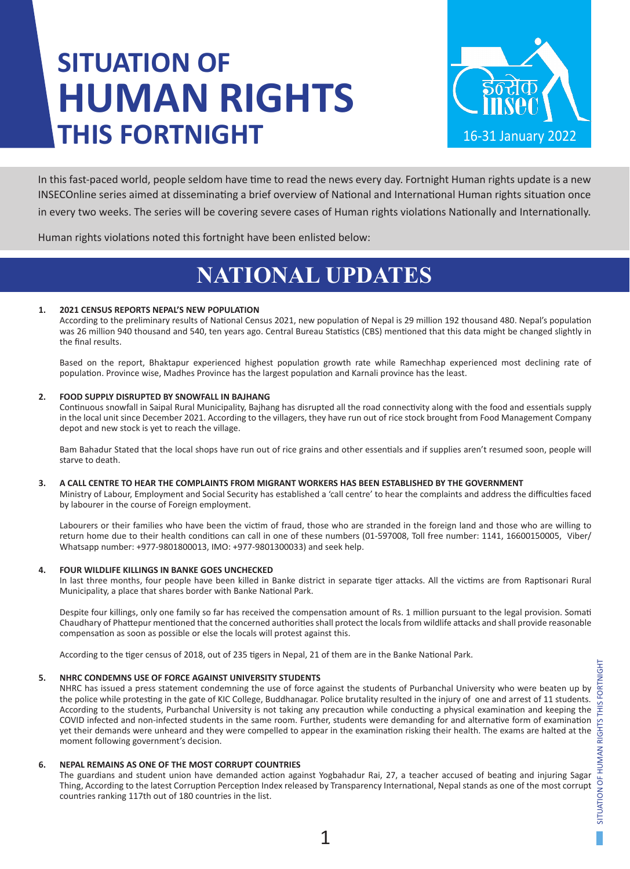# **SITUATION OF HUMAN RIGHTS THIS FORTNIGHT**



In this fast-paced world, people seldom have time to read the news every day. Fortnight Human rights update is a new INSECOnline series aimed at disseminating a brief overview of National and International Human rights situation once in every two weeks. The series will be covering severe cases of Human rights violations Nationally and Internationally.

Human rights violations noted this fortnight have been enlisted below:

## **NATIONAL UPDATES**

#### **1. 2021 CENSUS REPORTS NEPAL'S NEW POPULATION**

According to the preliminary results of National Census 2021, new population of Nepal is 29 million 192 thousand 480. Nepal's population was 26 million 940 thousand and 540, ten years ago. Central Bureau Statistics (CBS) mentioned that this data might be changed slightly in the final results.

Based on the report, Bhaktapur experienced highest population growth rate while Ramechhap experienced most declining rate of population. Province wise, Madhes Province has the largest population and Karnali province has the least.

#### **2. FOOD SUPPLY DISRUPTED BY SNOWFALL IN BAJHANG**

Continuous snowfall in Saipal Rural Municipality, Bajhang has disrupted all the road connectivity along with the food and essentials supply in the local unit since December 2021. According to the villagers, they have run out of rice stock brought from Food Management Company depot and new stock is yet to reach the village.

Bam Bahadur Stated that the local shops have run out of rice grains and other essentials and if supplies aren't resumed soon, people will starve to death.

#### **3. A CALL CENTRE TO HEAR THE COMPLAINTS FROM MIGRANT WORKERS HAS BEEN ESTABLISHED BY THE GOVERNMENT**

Ministry of Labour, Employment and Social Security has established a 'call centre' to hear the complaints and address the difficulties faced by labourer in the course of Foreign employment.

Labourers or their families who have been the victim of fraud, those who are stranded in the foreign land and those who are willing to return home due to their health conditions can call in one of these numbers (01-597008, Toll free number: 1141, 16600150005, Viber/ Whatsapp number: +977-9801800013, IMO: +977-9801300033) and seek help.

#### **4. FOUR WILDLIFE KILLINGS IN BANKE GOES UNCHECKED**

In last three months, four people have been killed in Banke district in separate tiger attacks. All the victims are from Raptisonari Rural Municipality, a place that shares border with Banke National Park.

Despite four killings, only one family so far has received the compensation amount of Rs. 1 million pursuant to the legal provision. Somati Chaudhary of Phattepur mentioned that the concerned authorities shall protect the locals from wildlife attacks and shall provide reasonable compensation as soon as possible or else the locals will protest against this.

According to the tiger census of 2018, out of 235 tigers in Nepal, 21 of them are in the Banke National Park.

#### **5. NHRC CONDEMNS USE OF FORCE AGAINST UNIVERSITY STUDENTS**

NHRC has issued a press statement condemning the use of force against the students of Purbanchal University who were beaten up by the police while protesting in the gate of KIC College, Buddhanagar. Police brutality resulted in the injury of one and arrest of 11 students. According to the students, Purbanchal University is not taking any precaution while conducting a physical examination and keeping the COVID infected and non-infected students in the same room. Further, students were demanding for and alternative form of examination yet their demands were unheard and they were compelled to appear in the examination risking their health. The exams are halted at the moment following government's decision.

#### **6. NEPAL REMAINS AS ONE OF THE MOST CORRUPT COUNTRIES**

The guardians and student union have demanded action against Yogbahadur Rai, 27, a teacher accused of beating and injuring Sagar Thing, According to the latest Corruption Perception Index released by Transparency International, Nepal stands as one of the most corrupt countries ranking 117th out of 180 countries in the list.

1